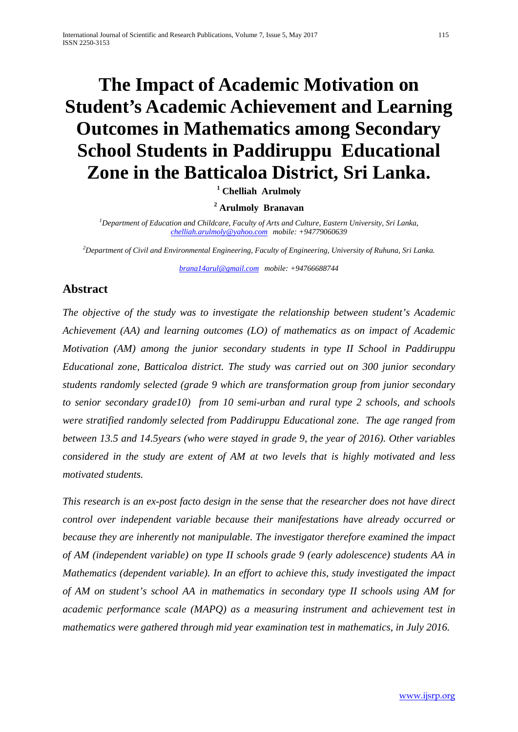# **The Impact of Academic Motivation on Student's Academic Achievement and Learning Outcomes in Mathematics among Secondary School Students in Paddiruppu Educational Zone in the Batticaloa District, Sri Lanka.**

**<sup>1</sup> Chelliah Arulmoly** 

**<sup>2</sup> Arulmoly Branavan**

*1 Department of Education and Childcare, Faculty of Arts and Culture, Eastern University, Sri Lanka, [chelliah.arulmoly@yahoo.com](mailto:chelliah.arulmoly@yahoo.com) mobile: +94779060639* 

*2 Department of Civil and Environmental Engineering, Faculty of Engineering, University of Ruhuna, Sri Lanka.*

*[brana14arul@gmail.com](mailto:brana14arul@gmail.com) mobile: +94766688744*

## **Abstract**

*The objective of the study was to investigate the relationship between student's Academic Achievement (AA) and learning outcomes (LO) of mathematics as on impact of Academic Motivation (AM) among the junior secondary students in type II School in Paddiruppu Educational zone, Batticaloa district. The study was carried out on 300 junior secondary students randomly selected (grade 9 which are transformation group from junior secondary to senior secondary grade10) from 10 semi-urban and rural type 2 schools, and schools were stratified randomly selected from Paddiruppu Educational zone. The age ranged from between 13.5 and 14.5years (who were stayed in grade 9, the year of 2016). Other variables considered in the study are extent of AM at two levels that is highly motivated and less motivated students.* 

*This research is an ex-post facto design in the sense that the researcher does not have direct control over independent variable because their manifestations have already occurred or because they are inherently not manipulable. The investigator therefore examined the impact of AM (independent variable) on type II schools grade 9 (early adolescence) students AA in Mathematics (dependent variable). In an effort to achieve this, study investigated the impact of AM on student's school AA in mathematics in secondary type II schools using AM for academic performance scale (MAPQ) as a measuring instrument and achievement test in mathematics were gathered through mid year examination test in mathematics, in July 2016.*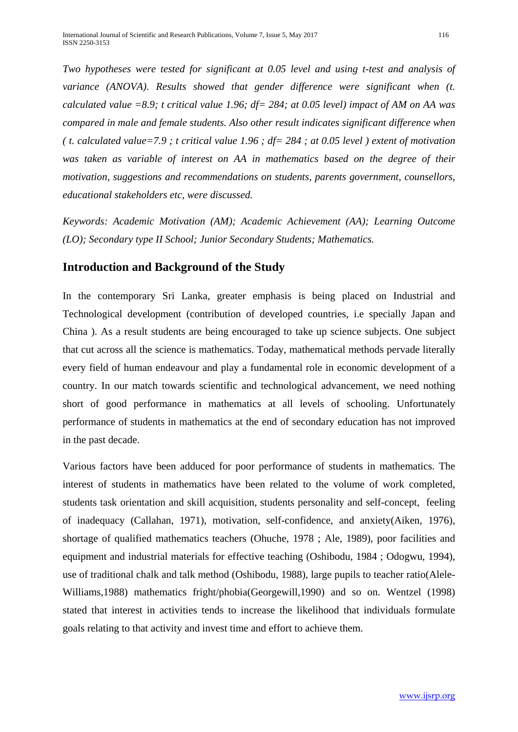*Two hypotheses were tested for significant at 0.05 level and using t-test and analysis of variance (ANOVA). Results showed that gender difference were significant when (t. calculated value =8.9; t critical value 1.96; df= 284; at 0.05 level) impact of AM on AA was compared in male and female students. Also other result indicates significant difference when ( t. calculated value=7.9 ; t critical value 1.96 ; df= 284 ; at 0.05 level ) extent of motivation*  was taken as variable of interest on AA in mathematics based on the degree of their *motivation, suggestions and recommendations on students, parents government, counsellors, educational stakeholders etc, were discussed.* 

*Keywords: Academic Motivation (AM); Academic Achievement (AA); Learning Outcome (LO); Secondary type II School; Junior Secondary Students; Mathematics.* 

# **Introduction and Background of the Study**

In the contemporary Sri Lanka, greater emphasis is being placed on Industrial and Technological development (contribution of developed countries, i.e specially Japan and China ). As a result students are being encouraged to take up science subjects. One subject that cut across all the science is mathematics. Today, mathematical methods pervade literally every field of human endeavour and play a fundamental role in economic development of a country. In our match towards scientific and technological advancement, we need nothing short of good performance in mathematics at all levels of schooling. Unfortunately performance of students in mathematics at the end of secondary education has not improved in the past decade.

Various factors have been adduced for poor performance of students in mathematics. The interest of students in mathematics have been related to the volume of work completed, students task orientation and skill acquisition, students personality and self-concept, feeling of inadequacy (Callahan, 1971), motivation, self-confidence, and anxiety(Aiken, 1976), shortage of qualified mathematics teachers (Ohuche, 1978 ; Ale, 1989), poor facilities and equipment and industrial materials for effective teaching (Oshibodu, 1984 ; Odogwu, 1994), use of traditional chalk and talk method (Oshibodu, 1988), large pupils to teacher ratio(Alele-Williams,1988) mathematics fright/phobia(Georgewill,1990) and so on. Wentzel (1998) stated that interest in activities tends to increase the likelihood that individuals formulate goals relating to that activity and invest time and effort to achieve them.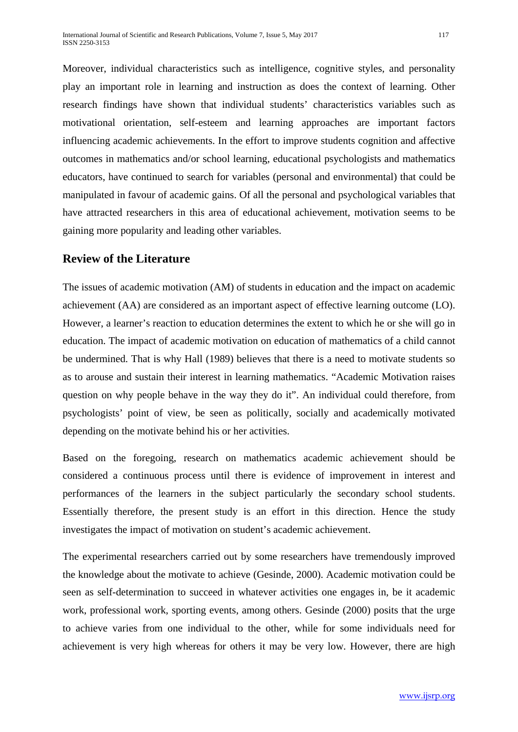Moreover, individual characteristics such as intelligence, cognitive styles, and personality play an important role in learning and instruction as does the context of learning. Other research findings have shown that individual students' characteristics variables such as motivational orientation, self-esteem and learning approaches are important factors influencing academic achievements. In the effort to improve students cognition and affective outcomes in mathematics and/or school learning, educational psychologists and mathematics educators, have continued to search for variables (personal and environmental) that could be manipulated in favour of academic gains. Of all the personal and psychological variables that have attracted researchers in this area of educational achievement, motivation seems to be gaining more popularity and leading other variables.

## **Review of the Literature**

The issues of academic motivation (AM) of students in education and the impact on academic achievement (AA) are considered as an important aspect of effective learning outcome (LO). However, a learner's reaction to education determines the extent to which he or she will go in education. The impact of academic motivation on education of mathematics of a child cannot be undermined. That is why Hall (1989) believes that there is a need to motivate students so as to arouse and sustain their interest in learning mathematics. "Academic Motivation raises question on why people behave in the way they do it". An individual could therefore, from psychologists' point of view, be seen as politically, socially and academically motivated depending on the motivate behind his or her activities.

Based on the foregoing, research on mathematics academic achievement should be considered a continuous process until there is evidence of improvement in interest and performances of the learners in the subject particularly the secondary school students. Essentially therefore, the present study is an effort in this direction. Hence the study investigates the impact of motivation on student's academic achievement.

The experimental researchers carried out by some researchers have tremendously improved the knowledge about the motivate to achieve (Gesinde, 2000). Academic motivation could be seen as self-determination to succeed in whatever activities one engages in, be it academic work, professional work, sporting events, among others. Gesinde (2000) posits that the urge to achieve varies from one individual to the other, while for some individuals need for achievement is very high whereas for others it may be very low. However, there are high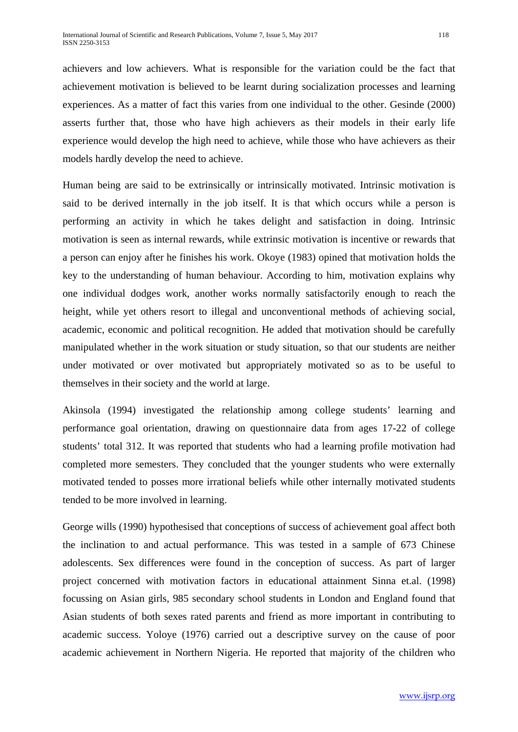achievers and low achievers. What is responsible for the variation could be the fact that achievement motivation is believed to be learnt during socialization processes and learning experiences. As a matter of fact this varies from one individual to the other. Gesinde (2000) asserts further that, those who have high achievers as their models in their early life experience would develop the high need to achieve, while those who have achievers as their models hardly develop the need to achieve.

Human being are said to be extrinsically or intrinsically motivated. Intrinsic motivation is said to be derived internally in the job itself. It is that which occurs while a person is performing an activity in which he takes delight and satisfaction in doing. Intrinsic motivation is seen as internal rewards, while extrinsic motivation is incentive or rewards that a person can enjoy after he finishes his work. Okoye (1983) opined that motivation holds the key to the understanding of human behaviour. According to him, motivation explains why one individual dodges work, another works normally satisfactorily enough to reach the height, while yet others resort to illegal and unconventional methods of achieving social, academic, economic and political recognition. He added that motivation should be carefully manipulated whether in the work situation or study situation, so that our students are neither under motivated or over motivated but appropriately motivated so as to be useful to themselves in their society and the world at large.

Akinsola (1994) investigated the relationship among college students' learning and performance goal orientation, drawing on questionnaire data from ages 17-22 of college students' total 312. It was reported that students who had a learning profile motivation had completed more semesters. They concluded that the younger students who were externally motivated tended to posses more irrational beliefs while other internally motivated students tended to be more involved in learning.

George wills (1990) hypothesised that conceptions of success of achievement goal affect both the inclination to and actual performance. This was tested in a sample of 673 Chinese adolescents. Sex differences were found in the conception of success. As part of larger project concerned with motivation factors in educational attainment Sinna et.al. (1998) focussing on Asian girls, 985 secondary school students in London and England found that Asian students of both sexes rated parents and friend as more important in contributing to academic success. Yoloye (1976) carried out a descriptive survey on the cause of poor academic achievement in Northern Nigeria. He reported that majority of the children who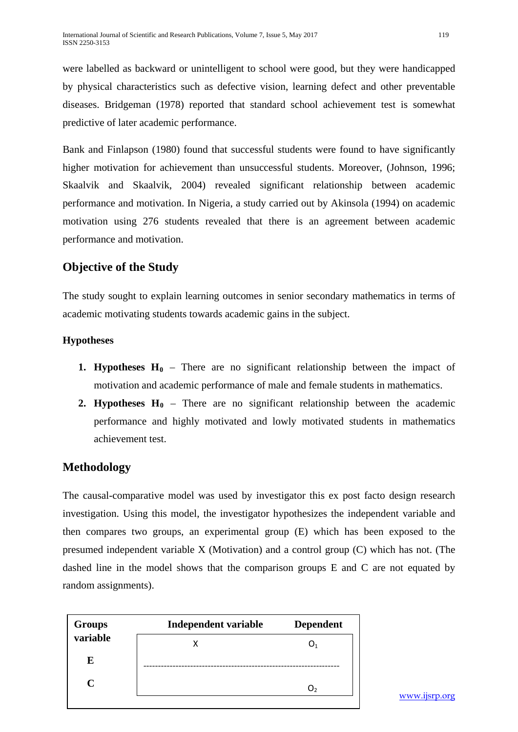were labelled as backward or unintelligent to school were good, but they were handicapped by physical characteristics such as defective vision, learning defect and other preventable diseases. Bridgeman (1978) reported that standard school achievement test is somewhat predictive of later academic performance.

Bank and Finlapson (1980) found that successful students were found to have significantly higher motivation for achievement than unsuccessful students. Moreover, (Johnson, 1996; Skaalvik and Skaalvik, 2004) revealed significant relationship between academic performance and motivation. In Nigeria, a study carried out by Akinsola (1994) on academic motivation using 276 students revealed that there is an agreement between academic performance and motivation.

# **Objective of the Study**

The study sought to explain learning outcomes in senior secondary mathematics in terms of academic motivating students towards academic gains in the subject.

## **Hypotheses**

- **1. Hypotheses**  $H_0$  There are no significant relationship between the impact of motivation and academic performance of male and female students in mathematics.
- **2. Hypotheses**  $H_0$  There are no significant relationship between the academic performance and highly motivated and lowly motivated students in mathematics achievement test.

# **Methodology**

The causal-comparative model was used by investigator this ex post facto design research investigation. Using this model, the investigator hypothesizes the independent variable and then compares two groups, an experimental group (E) which has been exposed to the presumed independent variable X (Motivation) and a control group (C) which has not. (The dashed line in the model shows that the comparison groups E and C are not equated by random assignments).

| <b>Groups</b> | Independent variable | <b>Dependent</b> |  |  |
|---------------|----------------------|------------------|--|--|
| variable      |                      |                  |  |  |
| E             |                      |                  |  |  |
| C             |                      |                  |  |  |
|               |                      |                  |  |  |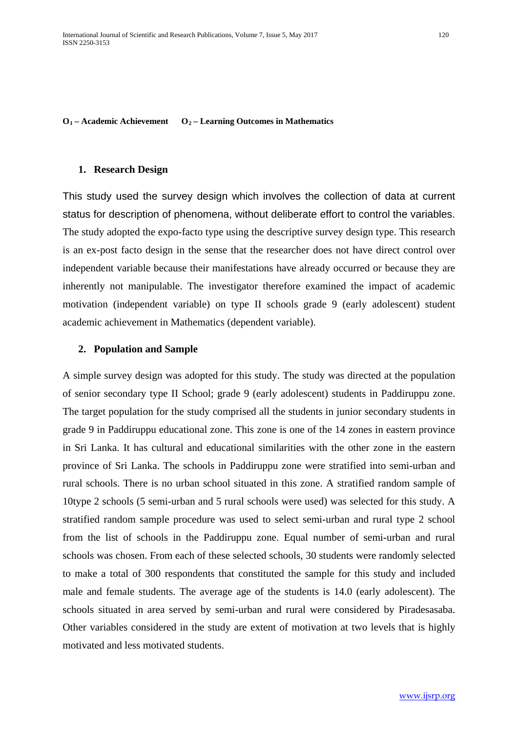$O_1$  – **Academic Achievement**  $O_2$  – **Learning Outcomes in Mathematics** 

#### **1. Research Design**

This study used the survey design which involves the collection of data at current status for description of phenomena, without deliberate effort to control the variables. The study adopted the expo-facto type using the descriptive survey design type. This research is an ex-post facto design in the sense that the researcher does not have direct control over independent variable because their manifestations have already occurred or because they are inherently not manipulable. The investigator therefore examined the impact of academic motivation (independent variable) on type II schools grade 9 (early adolescent) student academic achievement in Mathematics (dependent variable).

#### **2. Population and Sample**

A simple survey design was adopted for this study. The study was directed at the population of senior secondary type II School; grade 9 (early adolescent) students in Paddiruppu zone. The target population for the study comprised all the students in junior secondary students in grade 9 in Paddiruppu educational zone. This zone is one of the 14 zones in eastern province in Sri Lanka. It has cultural and educational similarities with the other zone in the eastern province of Sri Lanka. The schools in Paddiruppu zone were stratified into semi-urban and rural schools. There is no urban school situated in this zone. A stratified random sample of 10type 2 schools (5 semi-urban and 5 rural schools were used) was selected for this study. A stratified random sample procedure was used to select semi-urban and rural type 2 school from the list of schools in the Paddiruppu zone. Equal number of semi-urban and rural schools was chosen. From each of these selected schools, 30 students were randomly selected to make a total of 300 respondents that constituted the sample for this study and included male and female students. The average age of the students is 14.0 (early adolescent). The schools situated in area served by semi-urban and rural were considered by Piradesasaba. Other variables considered in the study are extent of motivation at two levels that is highly motivated and less motivated students.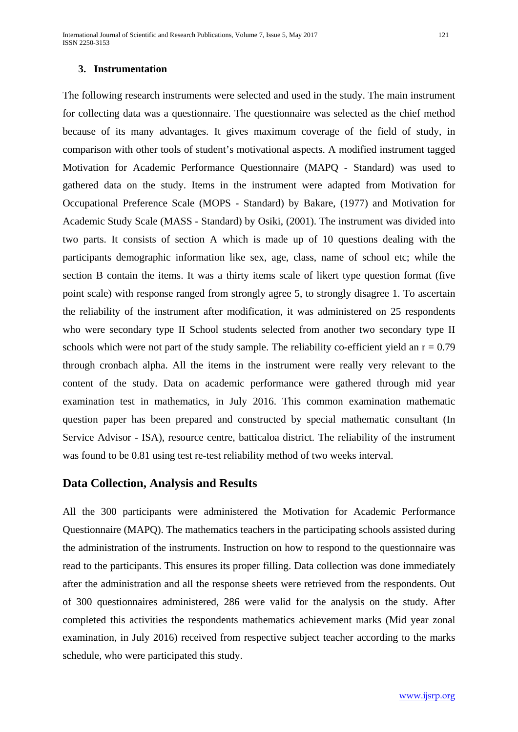## **3. Instrumentation**

The following research instruments were selected and used in the study. The main instrument for collecting data was a questionnaire. The questionnaire was selected as the chief method because of its many advantages. It gives maximum coverage of the field of study, in comparison with other tools of student's motivational aspects. A modified instrument tagged Motivation for Academic Performance Questionnaire (MAPQ - Standard) was used to gathered data on the study. Items in the instrument were adapted from Motivation for Occupational Preference Scale (MOPS - Standard) by Bakare, (1977) and Motivation for Academic Study Scale (MASS - Standard) by Osiki, (2001). The instrument was divided into two parts. It consists of section A which is made up of 10 questions dealing with the participants demographic information like sex, age, class, name of school etc; while the section B contain the items. It was a thirty items scale of likert type question format (five point scale) with response ranged from strongly agree 5, to strongly disagree 1. To ascertain the reliability of the instrument after modification, it was administered on 25 respondents who were secondary type II School students selected from another two secondary type II schools which were not part of the study sample. The reliability co-efficient yield an  $r = 0.79$ through cronbach alpha. All the items in the instrument were really very relevant to the content of the study. Data on academic performance were gathered through mid year examination test in mathematics, in July 2016. This common examination mathematic question paper has been prepared and constructed by special mathematic consultant (In Service Advisor - ISA), resource centre, batticaloa district. The reliability of the instrument was found to be 0.81 using test re-test reliability method of two weeks interval.

## **Data Collection, Analysis and Results**

All the 300 participants were administered the Motivation for Academic Performance Questionnaire (MAPQ). The mathematics teachers in the participating schools assisted during the administration of the instruments. Instruction on how to respond to the questionnaire was read to the participants. This ensures its proper filling. Data collection was done immediately after the administration and all the response sheets were retrieved from the respondents. Out of 300 questionnaires administered, 286 were valid for the analysis on the study. After completed this activities the respondents mathematics achievement marks (Mid year zonal examination, in July 2016) received from respective subject teacher according to the marks schedule, who were participated this study.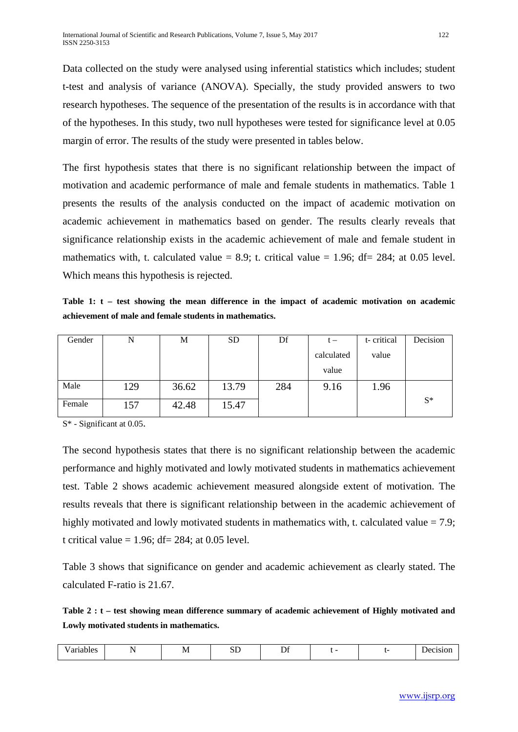Data collected on the study were analysed using inferential statistics which includes; student t-test and analysis of variance (ANOVA). Specially, the study provided answers to two research hypotheses. The sequence of the presentation of the results is in accordance with that of the hypotheses. In this study, two null hypotheses were tested for significance level at 0.05 margin of error. The results of the study were presented in tables below.

The first hypothesis states that there is no significant relationship between the impact of motivation and academic performance of male and female students in mathematics. Table 1 presents the results of the analysis conducted on the impact of academic motivation on academic achievement in mathematics based on gender. The results clearly reveals that significance relationship exists in the academic achievement of male and female student in mathematics with, t. calculated value = 8.9; t. critical value = 1.96; df= 284; at 0.05 level. Which means this hypothesis is rejected.

**Table 1: t – test showing the mean difference in the impact of academic motivation on academic achievement of male and female students in mathematics.**

| Gender | N   | M     | <b>SD</b> | Df  | $t -$      | t-critical | Decision |
|--------|-----|-------|-----------|-----|------------|------------|----------|
|        |     |       |           |     | calculated | value      |          |
|        |     |       |           |     | value      |            |          |
| Male   | 129 | 36.62 | 13.79     | 284 | 9.16       | 1.96       |          |
| Female | 157 | 42.48 | 15.47     |     |            |            | $S^*$    |

S\* - Significant at 0.05.

The second hypothesis states that there is no significant relationship between the academic performance and highly motivated and lowly motivated students in mathematics achievement test. Table 2 shows academic achievement measured alongside extent of motivation. The results reveals that there is significant relationship between in the academic achievement of highly motivated and lowly motivated students in mathematics with, t. calculated value  $= 7.9$ ; t critical value  $= 1.96$ ; df $= 284$ ; at 0.05 level.

Table 3 shows that significance on gender and academic achievement as clearly stated. The calculated F-ratio is 21.67.

**Table 2 : t – test showing mean difference summary of academic achievement of Highly motivated and Lowly motivated students in mathematics.**

| ---<br>$\cdot$ and $\cdot$<br>. |  | , ו<br>.<br>$-$ | $\sim$ $\sim$<br>ມມ | $\sim$<br>້ |  |  | ОЕ<br>" |
|---------------------------------|--|-----------------|---------------------|-------------|--|--|---------|
|---------------------------------|--|-----------------|---------------------|-------------|--|--|---------|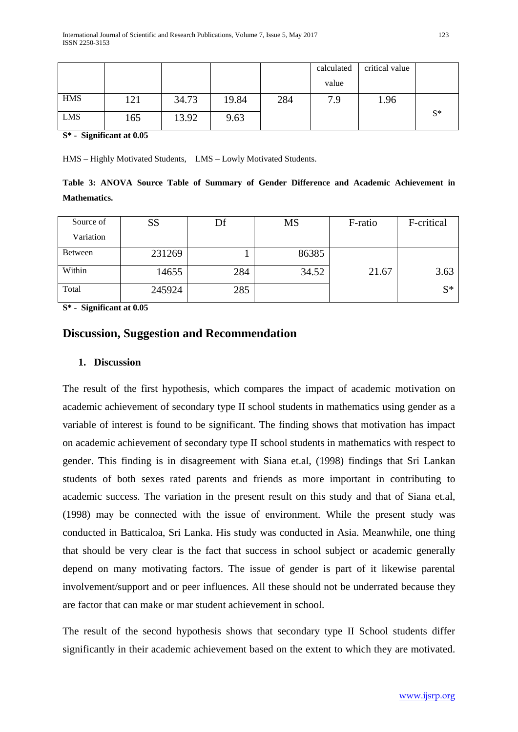|            |     |       |       |     | calculated | critical value |       |
|------------|-----|-------|-------|-----|------------|----------------|-------|
|            |     |       |       |     | value      |                |       |
| <b>HMS</b> | 121 | 34.73 | 19.84 | 284 | 7.9        | 1.96           |       |
| <b>LMS</b> | 165 | 13.92 | 9.63  |     |            |                | $S^*$ |

**S\* - Significant at 0.05**

HMS – Highly Motivated Students, LMS – Lowly Motivated Students.

**Table 3: ANOVA Source Table of Summary of Gender Difference and Academic Achievement in Mathematics.**

| Source of | SS     | Df  | MS    | F-ratio | F-critical |
|-----------|--------|-----|-------|---------|------------|
| Variation |        |     |       |         |            |
| Between   | 231269 |     | 86385 |         |            |
| Within    | 14655  | 284 | 34.52 | 21.67   | 3.63       |
| Total     | 245924 | 285 |       |         | $S^*$      |

**S\* - Significant at 0.05**

## **Discussion, Suggestion and Recommendation**

## **1. Discussion**

The result of the first hypothesis, which compares the impact of academic motivation on academic achievement of secondary type II school students in mathematics using gender as a variable of interest is found to be significant. The finding shows that motivation has impact on academic achievement of secondary type II school students in mathematics with respect to gender. This finding is in disagreement with Siana et.al, (1998) findings that Sri Lankan students of both sexes rated parents and friends as more important in contributing to academic success. The variation in the present result on this study and that of Siana et.al, (1998) may be connected with the issue of environment. While the present study was conducted in Batticaloa, Sri Lanka. His study was conducted in Asia. Meanwhile, one thing that should be very clear is the fact that success in school subject or academic generally depend on many motivating factors. The issue of gender is part of it likewise parental involvement/support and or peer influences. All these should not be underrated because they are factor that can make or mar student achievement in school.

The result of the second hypothesis shows that secondary type II School students differ significantly in their academic achievement based on the extent to which they are motivated.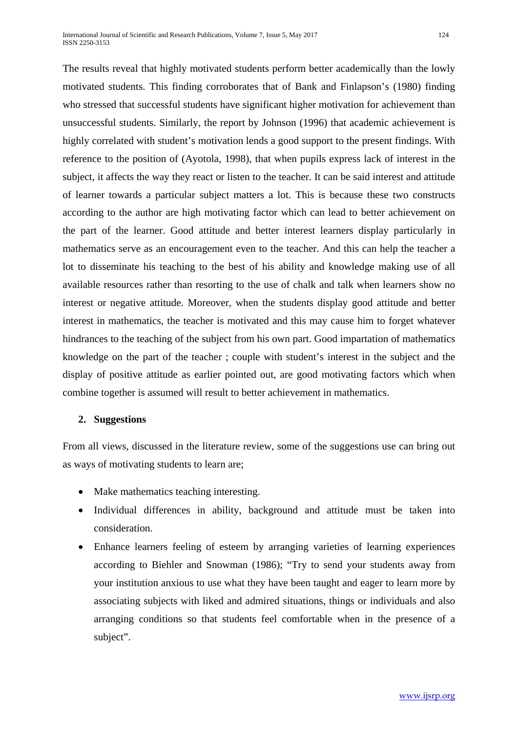The results reveal that highly motivated students perform better academically than the lowly motivated students. This finding corroborates that of Bank and Finlapson's (1980) finding who stressed that successful students have significant higher motivation for achievement than unsuccessful students. Similarly, the report by Johnson (1996) that academic achievement is highly correlated with student's motivation lends a good support to the present findings. With reference to the position of (Ayotola, 1998), that when pupils express lack of interest in the subject, it affects the way they react or listen to the teacher. It can be said interest and attitude of learner towards a particular subject matters a lot. This is because these two constructs according to the author are high motivating factor which can lead to better achievement on the part of the learner. Good attitude and better interest learners display particularly in mathematics serve as an encouragement even to the teacher. And this can help the teacher a lot to disseminate his teaching to the best of his ability and knowledge making use of all available resources rather than resorting to the use of chalk and talk when learners show no interest or negative attitude. Moreover, when the students display good attitude and better interest in mathematics, the teacher is motivated and this may cause him to forget whatever hindrances to the teaching of the subject from his own part. Good impartation of mathematics knowledge on the part of the teacher ; couple with student's interest in the subject and the display of positive attitude as earlier pointed out, are good motivating factors which when combine together is assumed will result to better achievement in mathematics.

## **2. Suggestions**

From all views, discussed in the literature review, some of the suggestions use can bring out as ways of motivating students to learn are;

- Make mathematics teaching interesting.
- Individual differences in ability, background and attitude must be taken into consideration.
- Enhance learners feeling of esteem by arranging varieties of learning experiences according to Biehler and Snowman (1986); "Try to send your students away from your institution anxious to use what they have been taught and eager to learn more by associating subjects with liked and admired situations, things or individuals and also arranging conditions so that students feel comfortable when in the presence of a subject".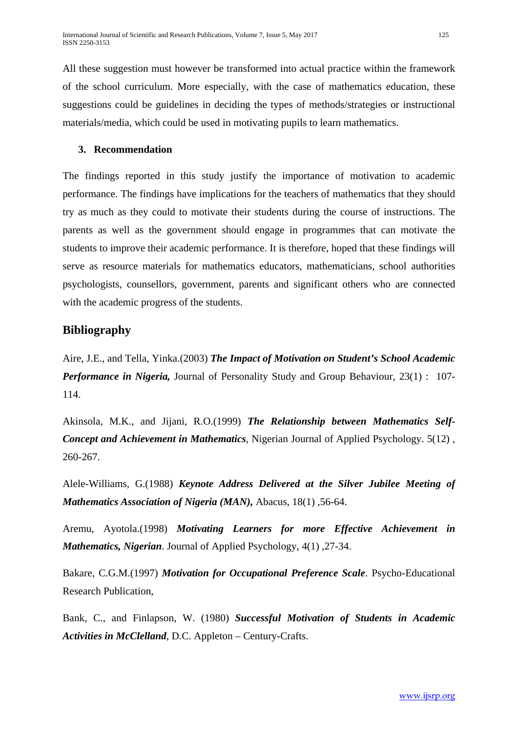All these suggestion must however be transformed into actual practice within the framework of the school curriculum. More especially, with the case of mathematics education, these suggestions could be guidelines in deciding the types of methods/strategies or instructional materials/media, which could be used in motivating pupils to learn mathematics.

## **3. Recommendation**

The findings reported in this study justify the importance of motivation to academic performance. The findings have implications for the teachers of mathematics that they should try as much as they could to motivate their students during the course of instructions. The parents as well as the government should engage in programmes that can motivate the students to improve their academic performance. It is therefore, hoped that these findings will serve as resource materials for mathematics educators, mathematicians, school authorities psychologists, counsellors, government, parents and significant others who are connected with the academic progress of the students.

# **Bibliography**

Aire, J.E., and Tella, Yinka.(2003) *The Impact of Motivation on Student's School Academic Performance in Nigeria,* Journal of Personality Study and Group Behaviour, 23(1) : 107- 114.

Akinsola, M.K., and Jijani, R.O.(1999) *The Relationship between Mathematics Self-Concept and Achievement in Mathematics*, Nigerian Journal of Applied Psychology. 5(12) , 260-267.

Alele-Williams, G.(1988) *Keynote Address Delivered at the Silver Jubilee Meeting of Mathematics Association of Nigeria (MAN),* Abacus, 18(1) ,56-64.

Aremu, Ayotola.(1998) *Motivating Learners for more Effective Achievement in Mathematics, Nigerian*. Journal of Applied Psychology, 4(1) ,27-34.

Bakare, C.G.M.(1997) *Motivation for Occupational Preference Scale*. Psycho-Educational Research Publication,

Bank, C., and Finlapson, W. (1980) *Successful Motivation of Students in Academic Activities in McClelland*, D.C. Appleton – Century-Crafts.